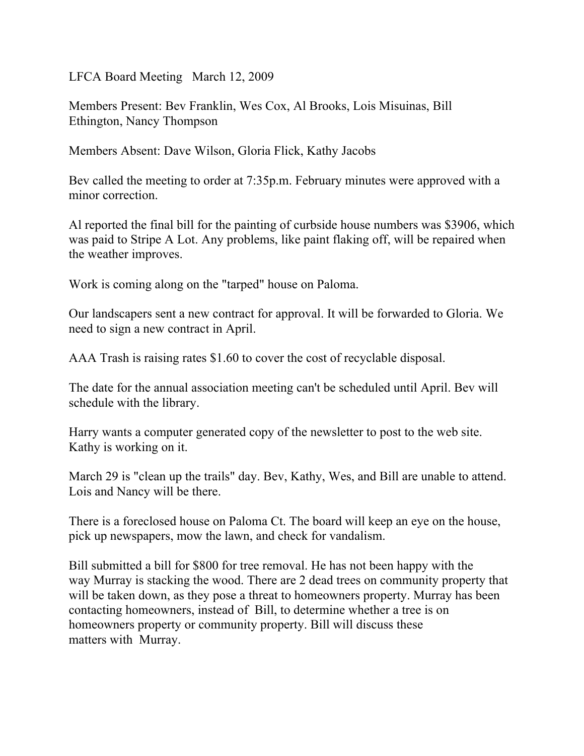LFCA Board Meeting March 12, 2009

Members Present: Bev Franklin, Wes Cox, Al Brooks, Lois Misuinas, Bill Ethington, Nancy Thompson

Members Absent: Dave Wilson, Gloria Flick, Kathy Jacobs

Bev called the meeting to order at 7:35p.m. February minutes were approved with a minor correction.

Al reported the final bill for the painting of curbside house numbers was \$3906, which was paid to Stripe A Lot. Any problems, like paint flaking off, will be repaired when the weather improves.

Work is coming along on the "tarped" house on Paloma.

Our landscapers sent a new contract for approval. It will be forwarded to Gloria. We need to sign a new contract in April.

AAA Trash is raising rates \$1.60 to cover the cost of recyclable disposal.

The date for the annual association meeting can't be scheduled until April. Bev will schedule with the library.

Harry wants a computer generated copy of the newsletter to post to the web site. Kathy is working on it.

March 29 is "clean up the trails" day. Bev, Kathy, Wes, and Bill are unable to attend. Lois and Nancy will be there.

There is a foreclosed house on Paloma Ct. The board will keep an eye on the house, pick up newspapers, mow the lawn, and check for vandalism.

Bill submitted a bill for \$800 for tree removal. He has not been happy with the way Murray is stacking the wood. There are 2 dead trees on community property that will be taken down, as they pose a threat to homeowners property. Murray has been contacting homeowners, instead of Bill, to determine whether a tree is on homeowners property or community property. Bill will discuss these matters with Murray.